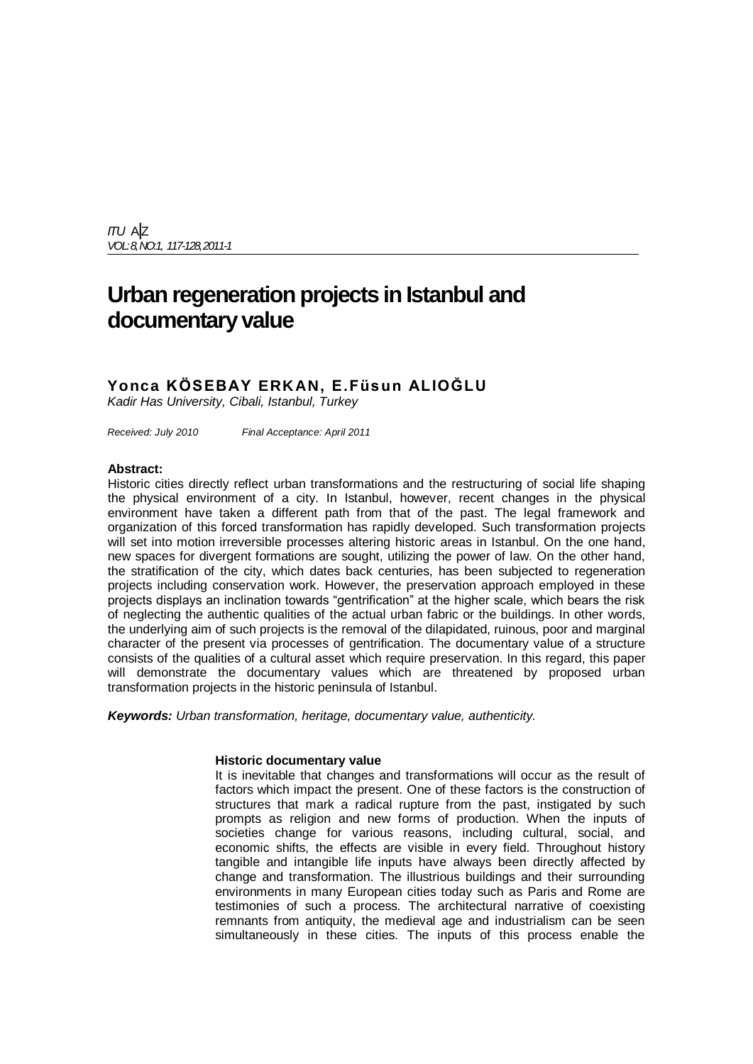*ITU* A|Z *VOL: 8,NO:1, 117-128,2011-1*

# **Urban regeneration projects in Istanbul and documentary value**

# **Yonca KÖSEBAY ERKAN, E.Füsun ALIOĞLU**

*Kadir Has University, Cibali, Istanbul, Turkey*

*Received: July 2010 Final Acceptance: April 2011*

#### **Abstract:**

Historic cities directly reflect urban transformations and the restructuring of social life shaping the physical environment of a city. In Istanbul, however, recent changes in the physical environment have taken a different path from that of the past. The legal framework and organization of this forced transformation has rapidly developed. Such transformation projects will set into motion irreversible processes altering historic areas in Istanbul. On the one hand, new spaces for divergent formations are sought, utilizing the power of law. On the other hand, the stratification of the city, which dates back centuries, has been subjected to regeneration projects including conservation work. However, the preservation approach employed in these projects displays an inclination towards "gentrification" at the higher scale, which bears the risk of neglecting the authentic qualities of the actual urban fabric or the buildings. In other words, the underlying aim of such projects is the removal of the dilapidated, ruinous, poor and marginal character of the present via processes of gentrification. The documentary value of a structure consists of the qualities of a cultural asset which require preservation. In this regard, this paper will demonstrate the documentary values which are threatened by proposed urban transformation projects in the historic peninsula of Istanbul.

*Keywords: Urban transformation, heritage, documentary value, authenticity.*

# **Historic documentary value**

It is inevitable that changes and transformations will occur as the result of factors which impact the present. One of these factors is the construction of structures that mark a radical rupture from the past, instigated by such prompts as religion and new forms of production. When the inputs of societies change for various reasons, including cultural, social, and economic shifts, the effects are visible in every field. Throughout history tangible and intangible life inputs have always been directly affected by change and transformation. The illustrious buildings and their surrounding environments in many European cities today such as Paris and Rome are testimonies of such a process. The architectural narrative of coexisting remnants from antiquity, the medieval age and industrialism can be seen simultaneously in these cities. The inputs of this process enable the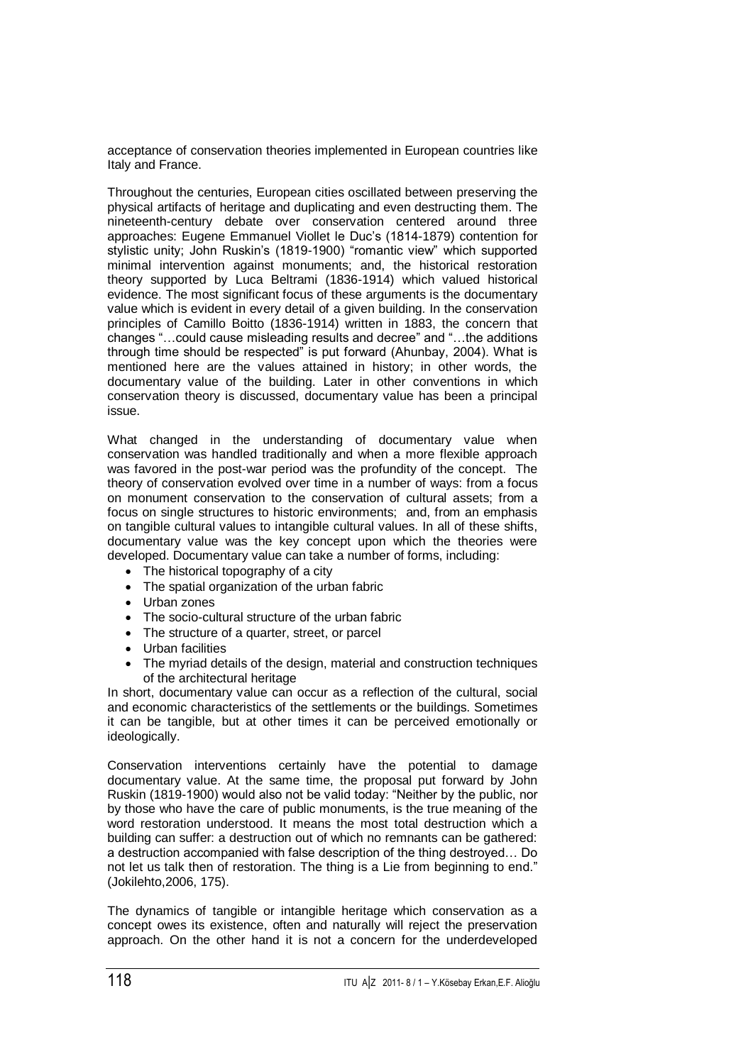acceptance of conservation theories implemented in European countries like Italy and France.

Throughout the centuries, European cities oscillated between preserving the physical artifacts of heritage and duplicating and even destructing them. The nineteenth-century debate over conservation centered around three approaches: Eugene Emmanuel Viollet le Duc's (1814-1879) contention for stylistic unity; John Ruskin's (1819-1900) "romantic view" which supported minimal intervention against monuments; and, the historical restoration theory supported by Luca Beltrami (1836-1914) which valued historical evidence. The most significant focus of these arguments is the documentary value which is evident in every detail of a given building. In the conservation principles of Camillo Boitto (1836-1914) written in 1883, the concern that changes "…could cause misleading results and decree" and "…the additions through time should be respected" is put forward (Ahunbay, 2004). What is mentioned here are the values attained in history; in other words, the documentary value of the building. Later in other conventions in which conservation theory is discussed, documentary value has been a principal issue.

What changed in the understanding of documentary value when conservation was handled traditionally and when a more flexible approach was favored in the post-war period was the profundity of the concept. The theory of conservation evolved over time in a number of ways: from a focus on monument conservation to the conservation of cultural assets; from a focus on single structures to historic environments; and, from an emphasis on tangible cultural values to intangible cultural values. In all of these shifts, documentary value was the key concept upon which the theories were developed. Documentary value can take a number of forms, including:

- The historical topography of a city
- The spatial organization of the urban fabric
- Urban zones
- The socio-cultural structure of the urban fabric
- The structure of a quarter, street, or parcel
- Urban facilities
- The myriad details of the design, material and construction techniques of the architectural heritage

In short, documentary value can occur as a reflection of the cultural, social and economic characteristics of the settlements or the buildings. Sometimes it can be tangible, but at other times it can be perceived emotionally or ideologically.

Conservation interventions certainly have the potential to damage documentary value. At the same time, the proposal put forward by John Ruskin (1819-1900) would also not be valid today: "Neither by the public, nor by those who have the care of public monuments, is the true meaning of the word restoration understood. It means the most total destruction which a building can suffer: a destruction out of which no remnants can be gathered: a destruction accompanied with false description of the thing destroyed… Do not let us talk then of restoration. The thing is a Lie from beginning to end." (Jokilehto,2006, 175).

The dynamics of tangible or intangible heritage which conservation as a concept owes its existence, often and naturally will reject the preservation approach. On the other hand it is not a concern for the underdeveloped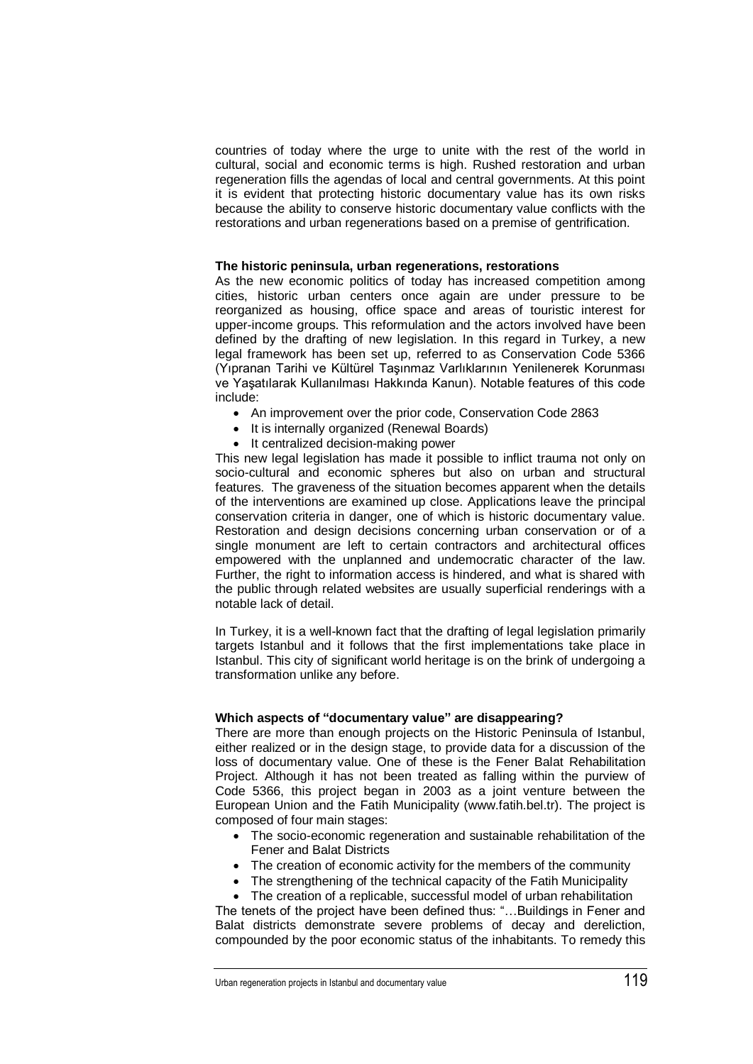countries of today where the urge to unite with the rest of the world in cultural, social and economic terms is high. Rushed restoration and urban regeneration fills the agendas of local and central governments. At this point it is evident that protecting historic documentary value has its own risks because the ability to conserve historic documentary value conflicts with the restorations and urban regenerations based on a premise of gentrification.

#### **The historic peninsula, urban regenerations, restorations**

As the new economic politics of today has increased competition among cities, historic urban centers once again are under pressure to be reorganized as housing, office space and areas of touristic interest for upper-income groups. This reformulation and the actors involved have been defined by the drafting of new legislation. In this regard in Turkey, a new legal framework has been set up, referred to as Conservation Code 5366 (Yıpranan Tarihi ve Kültürel Taşınmaz Varlıklarının Yenilenerek Korunması ve Yaşatılarak Kullanılması Hakkında Kanun). Notable features of this code include:

- An improvement over the prior code, Conservation Code 2863
- It is internally organized (Renewal Boards)
- It centralized decision-making power

This new legal legislation has made it possible to inflict trauma not only on socio-cultural and economic spheres but also on urban and structural features. The graveness of the situation becomes apparent when the details of the interventions are examined up close. Applications leave the principal conservation criteria in danger, one of which is historic documentary value. Restoration and design decisions concerning urban conservation or of a single monument are left to certain contractors and architectural offices empowered with the unplanned and undemocratic character of the law. Further, the right to information access is hindered, and what is shared with the public through related websites are usually superficial renderings with a notable lack of detail.

In Turkey, it is a well-known fact that the drafting of legal legislation primarily targets Istanbul and it follows that the first implementations take place in Istanbul. This city of significant world heritage is on the brink of undergoing a transformation unlike any before.

# **Which aspects of "documentary value" are disappearing?**

There are more than enough projects on the Historic Peninsula of Istanbul, either realized or in the design stage, to provide data for a discussion of the loss of documentary value. One of these is the Fener Balat Rehabilitation Project. Although it has not been treated as falling within the purview of Code 5366, this project began in 2003 as a joint venture between the European Union and the Fatih Municipality (www.fatih.bel.tr). The project is composed of four main stages:

- The socio-economic regeneration and sustainable rehabilitation of the Fener and Balat Districts
- The creation of economic activity for the members of the community
- The strengthening of the technical capacity of the Fatih Municipality

 The creation of a replicable, successful model of urban rehabilitation The tenets of the project have been defined thus: "…Buildings in Fener and Balat districts demonstrate severe problems of decay and dereliction, compounded by the poor economic status of the inhabitants. To remedy this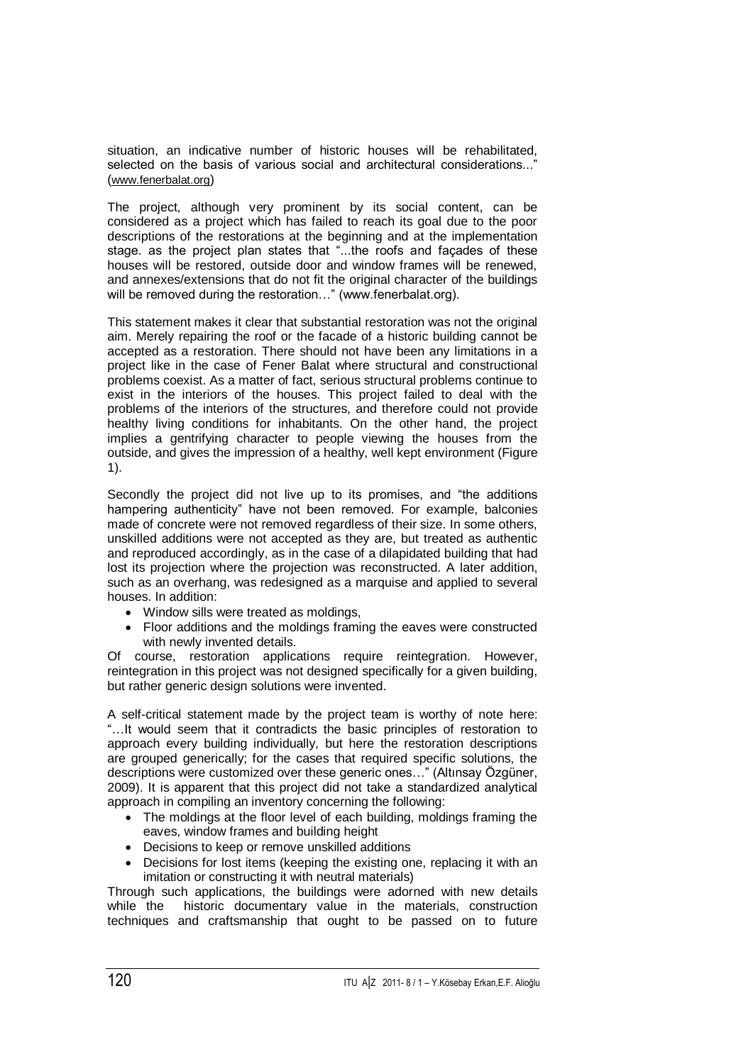situation, an indicative number of historic houses will be rehabilitated, selected on the basis of various social and architectural considerations..." ([www.fenerbalat.org](http://www.fenerbalat.org/))

The project, although very prominent by its social content, can be considered as a project which has failed to reach its goal due to the poor descriptions of the restorations at the beginning and at the implementation stage. as the project plan states that "...the roofs and façades of these houses will be restored, outside door and window frames will be renewed, and annexes/extensions that do not fit the original character of the buildings will be removed during the restoration..." (www.fenerbalat.org).

This statement makes it clear that substantial restoration was not the original aim. Merely repairing the roof or the facade of a historic building cannot be accepted as a restoration. There should not have been any limitations in a project like in the case of Fener Balat where structural and constructional problems coexist. As a matter of fact, serious structural problems continue to exist in the interiors of the houses. This project failed to deal with the problems of the interiors of the structures, and therefore could not provide healthy living conditions for inhabitants. On the other hand, the project implies a gentrifying character to people viewing the houses from the outside, and gives the impression of a healthy, well kept environment (Figure 1).

Secondly the project did not live up to its promises, and "the additions hampering authenticity" have not been removed. For example, balconies made of concrete were not removed regardless of their size. In some others, unskilled additions were not accepted as they are, but treated as authentic and reproduced accordingly, as in the case of a dilapidated building that had lost its projection where the projection was reconstructed. A later addition, such as an overhang, was redesigned as a marquise and applied to several houses. In addition:

- Window sills were treated as moldings,
- Floor additions and the moldings framing the eaves were constructed with newly invented details.

Of course, restoration applications require reintegration. However, reintegration in this project was not designed specifically for a given building, but rather generic design solutions were invented.

A self-critical statement made by the project team is worthy of note here: "…It would seem that it contradicts the basic principles of restoration to approach every building individually, but here the restoration descriptions are grouped generically; for the cases that required specific solutions, the descriptions were customized over these generic ones…" (Altınsay Özgüner, 2009). It is apparent that this project did not take a standardized analytical approach in compiling an inventory concerning the following:

- The moldings at the floor level of each building, moldings framing the eaves, window frames and building height
- Decisions to keep or remove unskilled additions
- Decisions for lost items (keeping the existing one, replacing it with an imitation or constructing it with neutral materials)

Through such applications, the buildings were adorned with new details while the historic documentary value in the materials, construction techniques and craftsmanship that ought to be passed on to future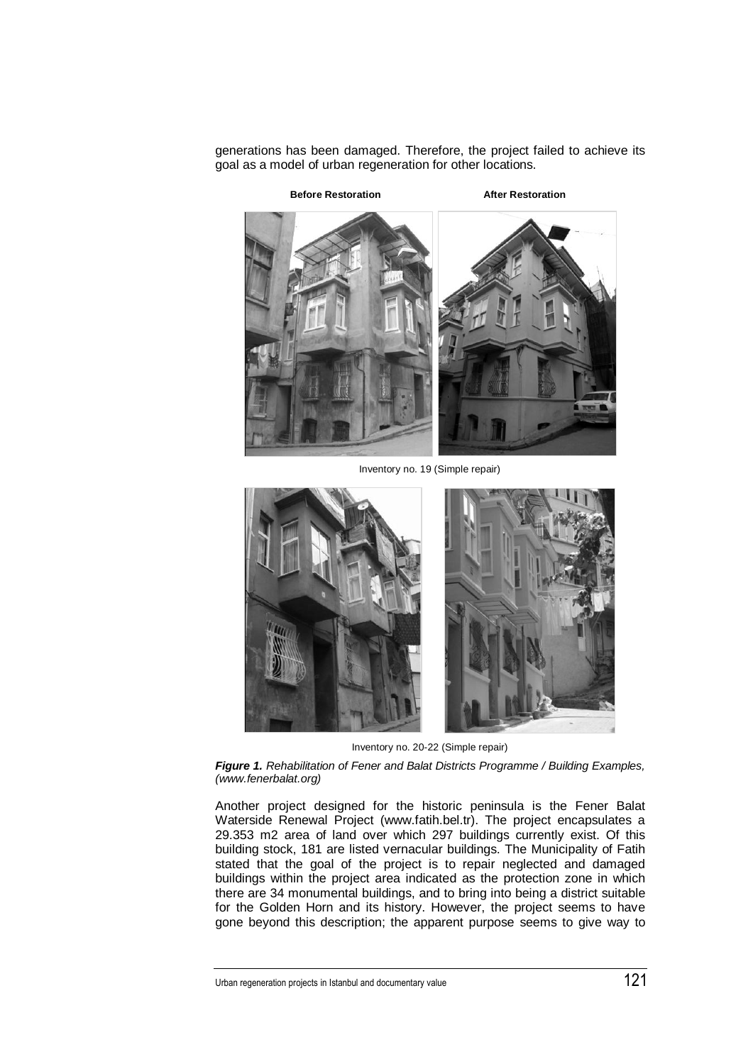generations has been damaged. Therefore, the project failed to achieve its goal as a model of urban regeneration for other locations.



Inventory no. 19 (Simple repair)



Inventory no. 20-22 (Simple repair)

*Figure 1. Rehabilitation of Fener and Balat Districts Programme / Building Examples, (www.fenerbalat.org)*

Another project designed for the historic peninsula is the Fener Balat Waterside Renewal Project (www.fatih.bel.tr). The project encapsulates a 29.353 m2 area of land over which 297 buildings currently exist. Of this building stock, 181 are listed vernacular buildings. The Municipality of Fatih stated that the goal of the project is to repair neglected and damaged buildings within the project area indicated as the protection zone in which there are 34 monumental buildings, and to bring into being a district suitable for the Golden Horn and its history. However, the project seems to have gone beyond this description; the apparent purpose seems to give way to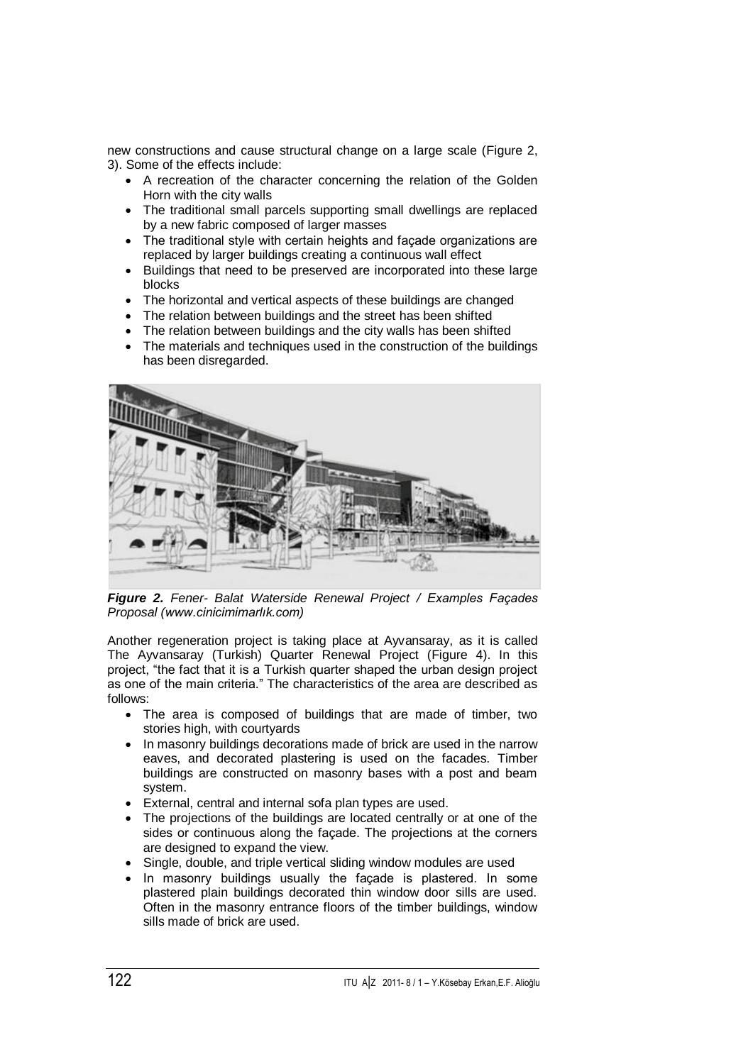new constructions and cause structural change on a large scale (Figure 2, 3). Some of the effects include:

- A recreation of the character concerning the relation of the Golden Horn with the city walls
- The traditional small parcels supporting small dwellings are replaced by a new fabric composed of larger masses
- The traditional style with certain heights and façade organizations are replaced by larger buildings creating a continuous wall effect
- Buildings that need to be preserved are incorporated into these large blocks
- The horizontal and vertical aspects of these buildings are changed
- The relation between buildings and the street has been shifted
- The relation between buildings and the city walls has been shifted
- The materials and techniques used in the construction of the buildings has been disregarded.



*Figure 2. Fener- Balat Waterside Renewal Project / Examples Façades Proposal [\(www.cinicimimarlık.com\)](http://www.cinicimimarlık.com/)*

Another regeneration project is taking place at Ayvansaray, as it is called The Ayvansaray (Turkish) Quarter Renewal Project (Figure 4). In this project, "the fact that it is a Turkish quarter shaped the urban design project as one of the main criteria." The characteristics of the area are described as follows:

- The area is composed of buildings that are made of timber, two stories high, with courtyards
- In masonry buildings decorations made of brick are used in the narrow eaves, and decorated plastering is used on the facades. Timber buildings are constructed on masonry bases with a post and beam system.
- External, central and internal sofa plan types are used.
- The projections of the buildings are located centrally or at one of the sides or continuous along the façade. The projections at the corners are designed to expand the view.
- Single, double, and triple vertical sliding window modules are used
- In masonry buildings usually the facade is plastered. In some plastered plain buildings decorated thin window door sills are used. Often in the masonry entrance floors of the timber buildings, window sills made of brick are used.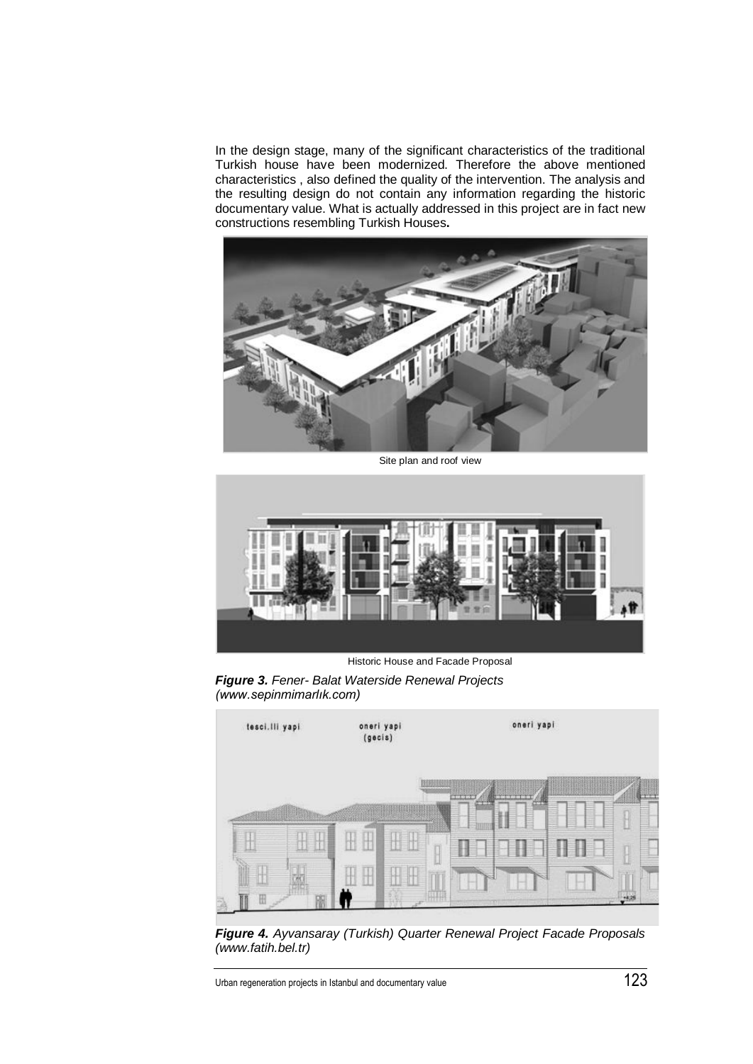In the design stage, many of the significant characteristics of the traditional Turkish house have been modernized. Therefore the above mentioned characteristics , also defined the quality of the intervention. The analysis and the resulting design do not contain any information regarding the historic documentary value. What is actually addressed in this project are in fact new constructions resembling Turkish Houses**.**



Site plan and roof view



Historic House and Facade Proposal

*Figure 3. Fener- Balat Waterside Renewal Projects (www.sepinmimarlık.com)*



*Figure 4. Ayvansaray (Turkish) Quarter Renewal Project Facade Proposals (www.fatih.bel.tr)*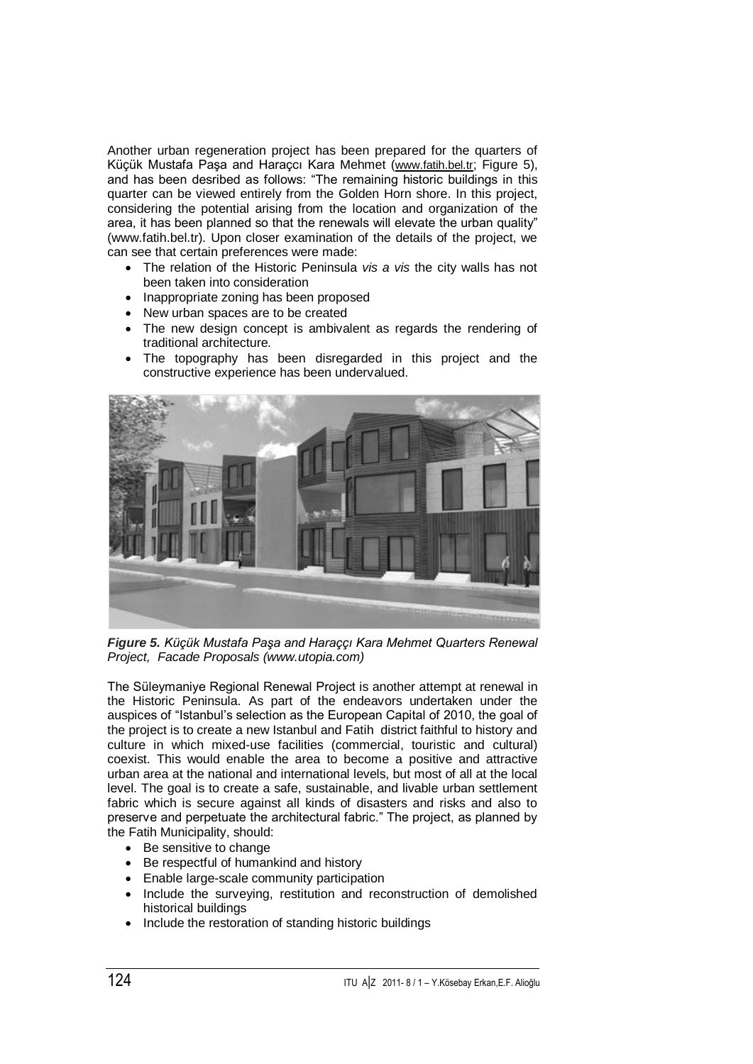Another urban regeneration project has been prepared for the quarters of Küçük Mustafa Paşa and Haraçcı Kara Mehmet ([www.fatih.bel.tr](http://www.fatih.bel.tr/); Figure 5), and has been desribed as follows: "The remaining historic buildings in this quarter can be viewed entirely from the Golden Horn shore. In this project, considering the potential arising from the location and organization of the area, it has been planned so that the renewals will elevate the urban quality" (www.fatih.bel.tr). Upon closer examination of the details of the project, we can see that certain preferences were made:

- The relation of the Historic Peninsula *vis a vis* the city walls has not been taken into consideration
- Inappropriate zoning has been proposed
- New urban spaces are to be created
- The new design concept is ambivalent as regards the rendering of traditional architecture.
- The topography has been disregarded in this project and the constructive experience has been undervalued.



*Figure 5. Küçük Mustafa Paşa and Haraççı Kara Mehmet Quarters Renewal Project, Facade Proposals (www.utopia.com)*

The Süleymaniye Regional Renewal Project is another attempt at renewal in the Historic Peninsula. As part of the endeavors undertaken under the auspices of "Istanbul's selection as the European Capital of 2010, the goal of the project is to create a new Istanbul and Fatih district faithful to history and culture in which mixed-use facilities (commercial, touristic and cultural) coexist. This would enable the area to become a positive and attractive urban area at the national and international levels, but most of all at the local level. The goal is to create a safe, sustainable, and livable urban settlement fabric which is secure against all kinds of disasters and risks and also to preserve and perpetuate the architectural fabric." The project, as planned by the Fatih Municipality, should:

- Be sensitive to change
- Be respectful of humankind and history
- **Enable large-scale community participation**
- Include the surveying, restitution and reconstruction of demolished historical buildings
- Include the restoration of standing historic buildings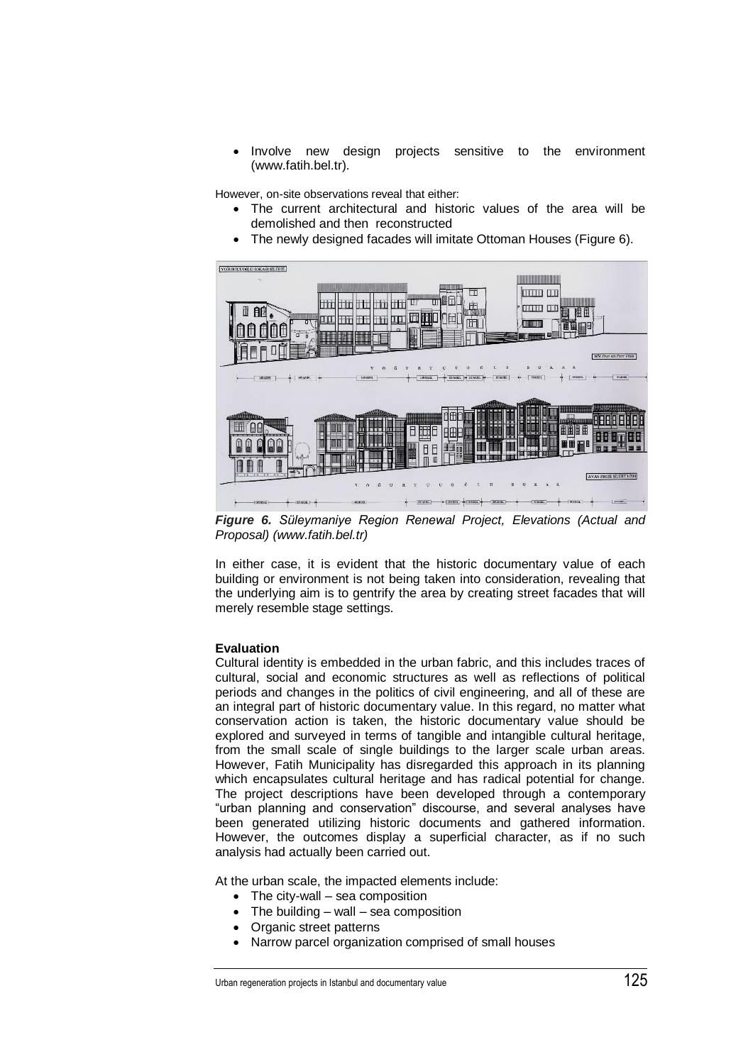Involve new design projects sensitive to the environment [\(www.fatih.bel.tr\)](http://www.fatih.bel.tr/).

However, on-site observations reveal that either:

- The current architectural and historic values of the area will be demolished and then reconstructed
- The newly designed facades will imitate Ottoman Houses (Figure 6).



*Figure 6. Süleymaniye Region Renewal Project, Elevations (Actual and Proposal) [\(www.fatih.bel.tr\)](http://www.fatih.bel.tr/)*

In either case, it is evident that the historic documentary value of each building or environment is not being taken into consideration, revealing that the underlying aim is to gentrify the area by creating street facades that will merely resemble stage settings.

# **Evaluation**

Cultural identity is embedded in the urban fabric, and this includes traces of cultural, social and economic structures as well as reflections of political periods and changes in the politics of civil engineering, and all of these are an integral part of historic documentary value. In this regard, no matter what conservation action is taken, the historic documentary value should be explored and surveyed in terms of tangible and intangible cultural heritage, from the small scale of single buildings to the larger scale urban areas. However, Fatih Municipality has disregarded this approach in its planning which encapsulates cultural heritage and has radical potential for change. The project descriptions have been developed through a contemporary "urban planning and conservation" discourse, and several analyses have been generated utilizing historic documents and gathered information. However, the outcomes display a superficial character, as if no such analysis had actually been carried out.

At the urban scale, the impacted elements include:

- The city-wall sea composition
- The building wall sea composition
- Organic street patterns
- Narrow parcel organization comprised of small houses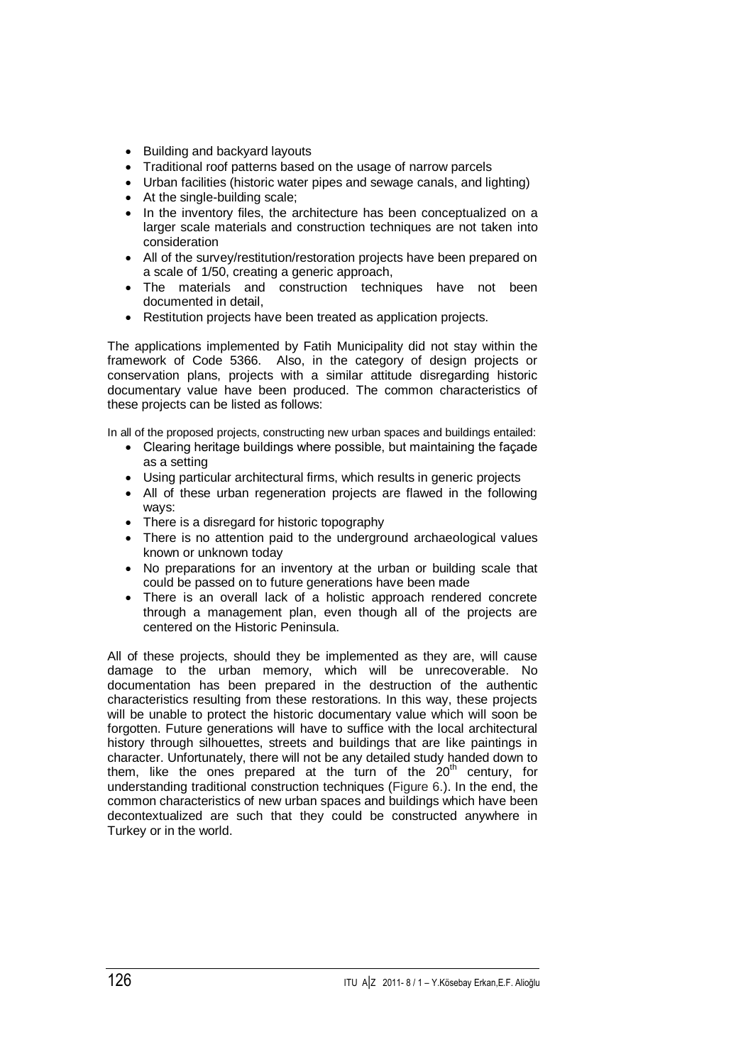- Building and backvard layouts
- Traditional roof patterns based on the usage of narrow parcels
- Urban facilities (historic water pipes and sewage canals, and lighting)
- At the single-building scale:
- In the inventory files, the architecture has been conceptualized on a larger scale materials and construction techniques are not taken into consideration
- All of the survey/restitution/restoration projects have been prepared on a scale of 1/50, creating a generic approach,
- The materials and construction techniques have not been documented in detail,
- Restitution projects have been treated as application projects.

The applications implemented by Fatih Municipality did not stay within the framework of Code 5366. Also, in the category of design projects or conservation plans, projects with a similar attitude disregarding historic documentary value have been produced. The common characteristics of these projects can be listed as follows:

In all of the proposed projects, constructing new urban spaces and buildings entailed:

- Clearing heritage buildings where possible, but maintaining the façade as a setting
- Using particular architectural firms, which results in generic projects
- All of these urban regeneration projects are flawed in the following ways:
- There is a disregard for historic topography
- There is no attention paid to the underground archaeological values known or unknown today
- No preparations for an inventory at the urban or building scale that could be passed on to future generations have been made
- There is an overall lack of a holistic approach rendered concrete through a management plan, even though all of the projects are centered on the Historic Peninsula.

All of these projects, should they be implemented as they are, will cause damage to the urban memory, which will be unrecoverable. No documentation has been prepared in the destruction of the authentic characteristics resulting from these restorations. In this way, these projects will be unable to protect the historic documentary value which will soon be forgotten. Future generations will have to suffice with the local architectural history through silhouettes, streets and buildings that are like paintings in character. Unfortunately, there will not be any detailed study handed down to them, like the ones prepared at the turn of the  $20<sup>th</sup>$  century, for understanding traditional construction techniques (Figure 6.). In the end, the common characteristics of new urban spaces and buildings which have been decontextualized are such that they could be constructed anywhere in Turkey or in the world.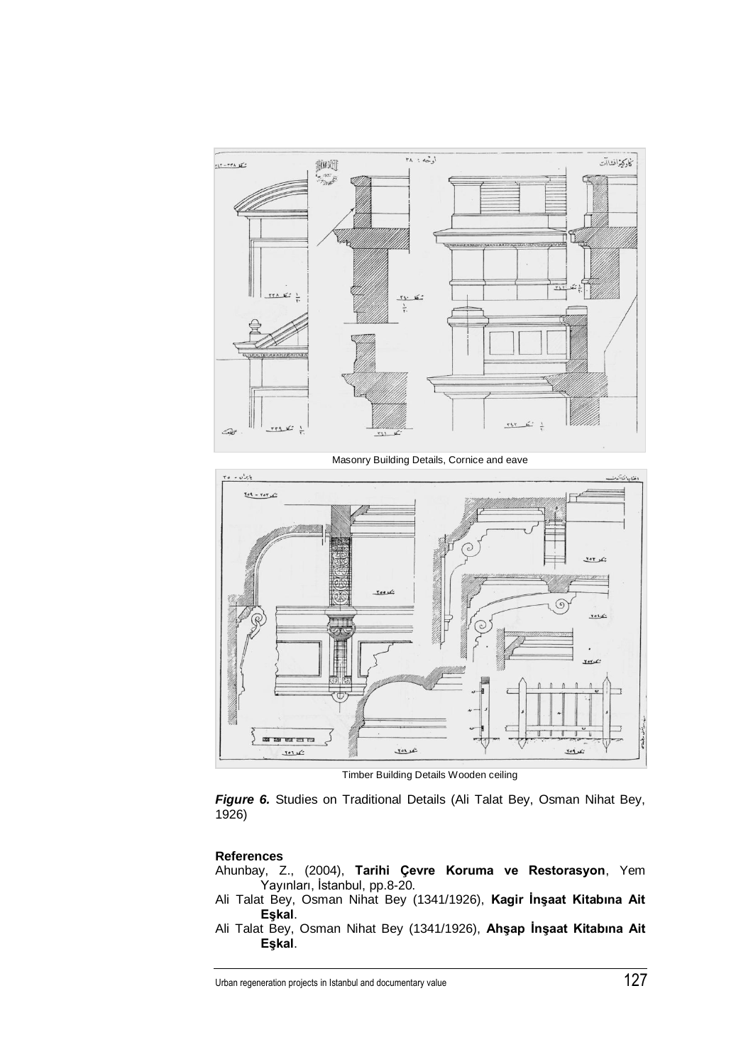

Masonry Building Details, Cornice and eave



Timber Building Details Wooden ceiling

*Figure 6.* Studies on Traditional Details (Ali Talat Bey, Osman Nihat Bey, 1926)

# **References**

- Ahunbay, Z., (2004), **Tarihi Çevre Koruma ve Restorasyon**, Yem Yayınları, İstanbul, pp.8-20.
- Ali Talat Bey, Osman Nihat Bey (1341/1926), **Kagir İnşaat Kitabına Ait Eşkal**.
- Ali Talat Bey, Osman Nihat Bey (1341/1926), **Ahşap İnşaat Kitabına Ait Eşkal**.